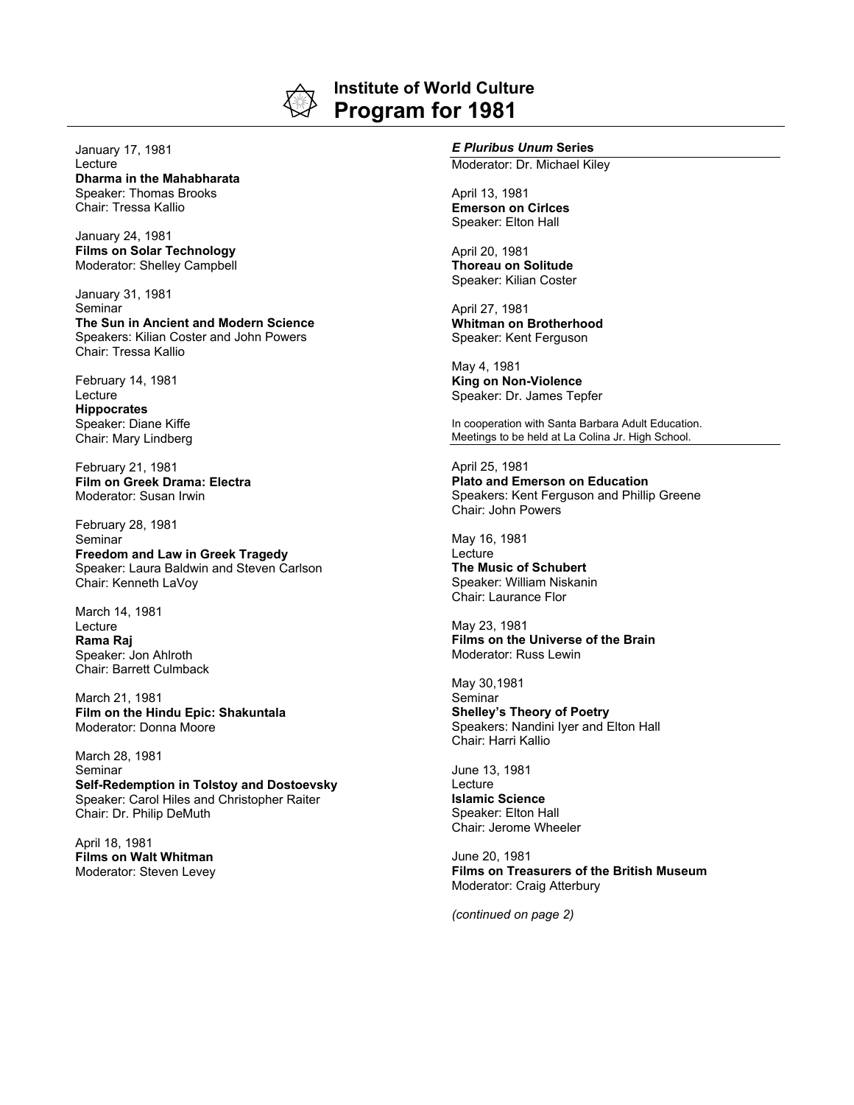

## **Institute of World Culture Program for 1981**

January 17, 1981 **Lecture Dharma in the Mahabharata** Speaker: Thomas Brooks Chair: Tressa Kallio

January 24, 1981 **Films on Solar Technology** Moderator: Shelley Campbell

January 31, 1981 Seminar **The Sun in Ancient and Modern Science** Speakers: Kilian Coster and John Powers Chair: Tressa Kallio

February 14, 1981 Lecture **Hippocrates** Speaker: Diane Kiffe Chair: Mary Lindberg

February 21, 1981 **Film on Greek Drama: Electra** Moderator: Susan Irwin

February 28, 1981 **Seminar Freedom and Law in Greek Tragedy** Speaker: Laura Baldwin and Steven Carlson Chair: Kenneth LaVoy

March 14, 1981 Lecture **Rama Raj** Speaker: Jon Ahlroth Chair: Barrett Culmback

March 21, 1981 **Film on the Hindu Epic: Shakuntala** Moderator: Donna Moore

March 28, 1981 Seminar **Self-Redemption in Tolstoy and Dostoevsky** Speaker: Carol Hiles and Christopher Raiter Chair: Dr. Philip DeMuth

April 18, 1981 **Films on Walt Whitman** Moderator: Steven Levey

## *E Pluribus Unum* **Series**

Moderator: Dr. Michael Kiley

April 13, 1981 **Emerson on Cirlces** Speaker: Elton Hall

April 20, 1981 **Thoreau on Solitude** Speaker: Kilian Coster

April 27, 1981 **Whitman on Brotherhood** Speaker: Kent Ferguson

May 4, 1981 **King on Non-Violence** Speaker: Dr. James Tepfer

In cooperation with Santa Barbara Adult Education. Meetings to be held at La Colina Jr. High School.

April 25, 1981 **Plato and Emerson on Education** Speakers: Kent Ferguson and Phillip Greene Chair: John Powers

May 16, 1981 **Lecture The Music of Schubert** Speaker: William Niskanin Chair: Laurance Flor

May 23, 1981 **Films on the Universe of the Brain** Moderator: Russ Lewin

May 30,1981 Seminar **Shelley's Theory of Poetry** Speakers: Nandini Iyer and Elton Hall Chair: Harri Kallio

June 13, 1981 Lecture **Islamic Science** Speaker: Elton Hall Chair: Jerome Wheeler

June 20, 1981 **Films on Treasurers of the British Museum** Moderator: Craig Atterbury

*(continued on page 2)*